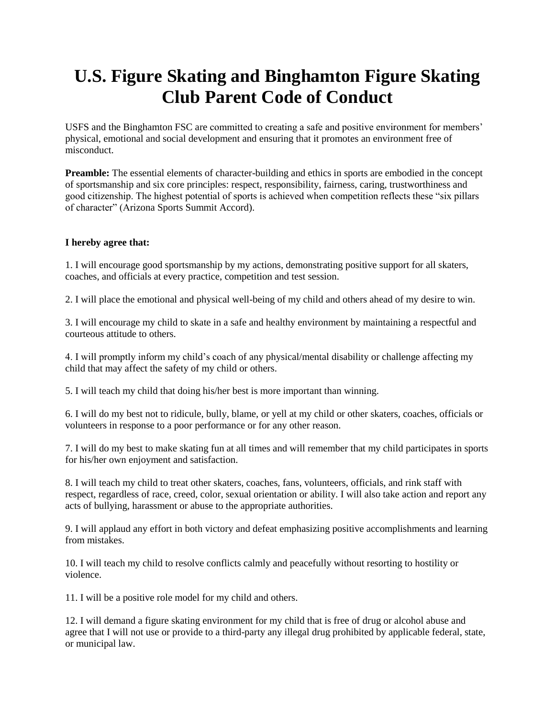## **U.S. Figure Skating and Binghamton Figure Skating Club Parent Code of Conduct**

USFS and the Binghamton FSC are committed to creating a safe and positive environment for members' physical, emotional and social development and ensuring that it promotes an environment free of misconduct.

**Preamble:** The essential elements of character-building and ethics in sports are embodied in the concept of sportsmanship and six core principles: respect, responsibility, fairness, caring, trustworthiness and good citizenship. The highest potential of sports is achieved when competition reflects these "six pillars of character" (Arizona Sports Summit Accord).

## **I hereby agree that:**

1. I will encourage good sportsmanship by my actions, demonstrating positive support for all skaters, coaches, and officials at every practice, competition and test session.

2. I will place the emotional and physical well-being of my child and others ahead of my desire to win.

3. I will encourage my child to skate in a safe and healthy environment by maintaining a respectful and courteous attitude to others.

4. I will promptly inform my child's coach of any physical/mental disability or challenge affecting my child that may affect the safety of my child or others.

5. I will teach my child that doing his/her best is more important than winning.

6. I will do my best not to ridicule, bully, blame, or yell at my child or other skaters, coaches, officials or volunteers in response to a poor performance or for any other reason.

7. I will do my best to make skating fun at all times and will remember that my child participates in sports for his/her own enjoyment and satisfaction.

8. I will teach my child to treat other skaters, coaches, fans, volunteers, officials, and rink staff with respect, regardless of race, creed, color, sexual orientation or ability. I will also take action and report any acts of bullying, harassment or abuse to the appropriate authorities.

9. I will applaud any effort in both victory and defeat emphasizing positive accomplishments and learning from mistakes.

10. I will teach my child to resolve conflicts calmly and peacefully without resorting to hostility or violence.

11. I will be a positive role model for my child and others.

12. I will demand a figure skating environment for my child that is free of drug or alcohol abuse and agree that I will not use or provide to a third-party any illegal drug prohibited by applicable federal, state, or municipal law.